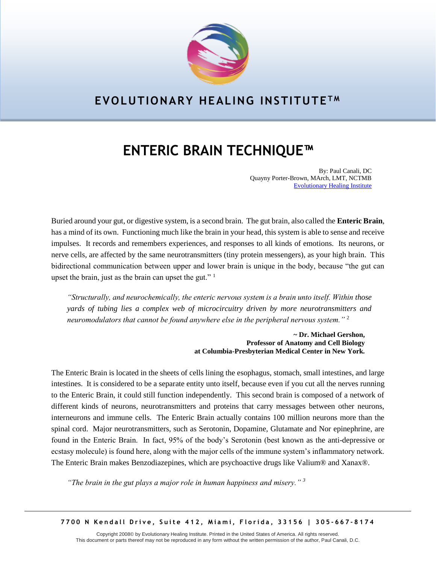

## **EVOLUTIONARY HEALING INSTITUTE T M**

# **ENTERIC BRAIN TECHNIQUE™**

By: Paul Canali, DC Quayny Porter-Brown, MArch, LMT, NCTMB [Evolutionary Healing Institute](http://www.ehmiami.com/)

Buried around your gut, or digestive system, is a second brain. The gut brain, also called the **Enteric Brain**, has a mind of its own. Functioning much like the brain in your head, this system is able to sense and receive impulses. It records and remembers experiences, and responses to all kinds of emotions. Its neurons, or nerve cells, are affected by the same neurotransmitters (tiny protein messengers), as your high brain. This bidirectional communication between upper and lower brain is unique in the body, because "the gut can upset the brain, just as the brain can upset the gut." <sup>1</sup>

*"Structurally, and neurochemically, the enteric nervous system is a brain unto itself. Within those yards of tubing lies a complex web of microcircuitry driven by more neurotransmitters and neuromodulators that cannot be found anywhere else in the peripheral nervous system."* <sup>2</sup>

> **~ Dr. Michael Gershon, Professor of Anatomy and Cell Biology at Columbia-Presbyterian Medical Center in New York.**

The Enteric Brain is located in the sheets of cells lining the esophagus, stomach, small intestines, and large intestines. It is considered to be a separate entity unto itself, because even if you cut all the nerves running to the Enteric Brain, it could still function independently. This second brain is composed of a network of different kinds of neurons, neurotransmitters and proteins that carry messages between other neurons, interneurons and immune cells. The Enteric Brain actually contains 100 million neurons more than the spinal cord. Major neurotransmitters, such as Serotonin, Dopamine, Glutamate and Nor epinephrine, are found in the Enteric Brain. In fact, 95% of the body's Serotonin (best known as the anti-depressive or ecstasy molecule) is found here, along with the major cells of the immune system's inflammatory network. The Enteric Brain makes Benzodiazepines, which are psychoactive drugs like Valium® and Xanax®.

*"The brain in the gut plays a major role in human happiness and misery." <sup>3</sup>*

**7 7 0 0 N K e n d a l l D r i v e , S u i t e 4 1 2 , M i a m i , F l o r i d a , 3 3 1 5 6 | 3 0 5 - 6 6 7 - 8 1 7 4**

Copyright 2008© by Evolutionary Healing Institute. Printed in the United States of America. All rights reserved. This document or parts thereof may not be reproduced in any form without the written permission of the author, Paul Canali, D.C.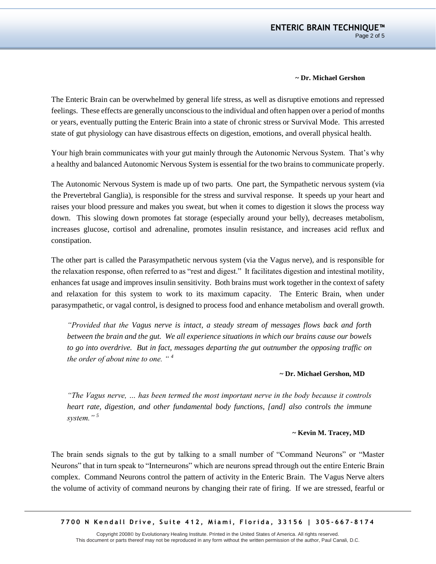#### **~ Dr. Michael Gershon**

The Enteric Brain can be overwhelmed by general life stress, as well as disruptive emotions and repressed feelings. These effects are generally unconscious to the individual and often happen over a period of months or years, eventually putting the Enteric Brain into a state of chronic stress or Survival Mode. This arrested state of gut physiology can have disastrous effects on digestion, emotions, and overall physical health.

Your high brain communicates with your gut mainly through the Autonomic Nervous System. That's why a healthy and balanced Autonomic Nervous System is essential for the two brains to communicate properly.

The Autonomic Nervous System is made up of two parts. One part, the Sympathetic nervous system (via the Prevertebral Ganglia), is responsible for the stress and survival response. It speeds up your heart and raises your blood pressure and makes you sweat, but when it comes to digestion it slows the process way down. This slowing down promotes fat storage (especially around your belly), decreases metabolism, increases glucose, cortisol and adrenaline, promotes insulin resistance, and increases acid reflux and constipation.

The other part is called the Parasympathetic nervous system (via the Vagus nerve), and is responsible for the relaxation response, often referred to as "rest and digest." It facilitates digestion and intestinal motility, enhances fat usage and improves insulin sensitivity. Both brains must work together in the context of safety and relaxation for this system to work to its maximum capacity. The Enteric Brain, when under parasympathetic, or vagal control, is designed to process food and enhance metabolism and overall growth.

*"Provided that the Vagus nerve is intact, a steady stream of messages flows back and forth between the brain and the gut. We all experience situations in which our brains cause our bowels to go into overdrive. But in fact, messages departing the gut outnumber the opposing traffic on the order of about nine to one. " <sup>4</sup>*

### **~ Dr. Michael Gershon, MD**

*"The Vagus nerve, … has been termed the most important nerve in the body because it controls heart rate, digestion, and other fundamental body functions, [and] also controls the immune system." <sup>5</sup>*

### **~ Kevin M. Tracey, MD**

The brain sends signals to the gut by talking to a small number of "Command Neurons" or "Master Neurons" that in turn speak to "Interneurons" which are neurons spread through out the entire Enteric Brain complex. Command Neurons control the pattern of activity in the Enteric Brain. The Vagus Nerve alters the volume of activity of command neurons by changing their rate of firing. If we are stressed, fearful or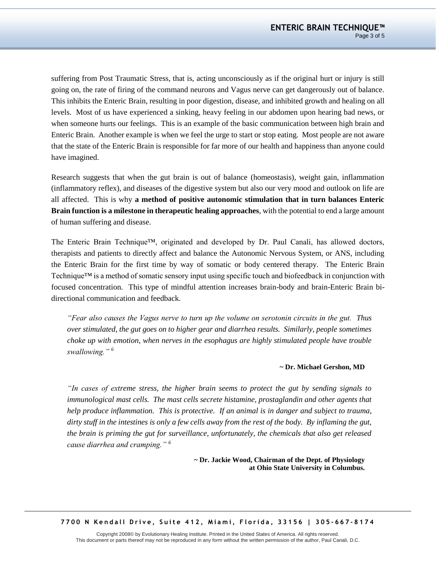suffering from Post Traumatic Stress, that is, acting unconsciously as if the original hurt or injury is still going on, the rate of firing of the command neurons and Vagus nerve can get dangerously out of balance. This inhibits the Enteric Brain, resulting in poor digestion, disease, and inhibited growth and healing on all levels. Most of us have experienced a sinking, heavy feeling in our abdomen upon hearing bad news, or when someone hurts our feelings. This is an example of the basic communication between high brain and Enteric Brain. Another example is when we feel the urge to start or stop eating. Most people are not aware that the state of the Enteric Brain is responsible for far more of our health and happiness than anyone could have imagined.

Research suggests that when the gut brain is out of balance (homeostasis), weight gain, inflammation (inflammatory reflex), and diseases of the digestive system but also our very mood and outlook on life are all affected. This is why **a method of positive autonomic stimulation that in turn balances Enteric Brain function is a milestone in therapeutic healing approaches**, with the potential to end a large amount of human suffering and disease.

The Enteric Brain Technique™, originated and developed by Dr. Paul Canali, has allowed doctors, therapists and patients to directly affect and balance the Autonomic Nervous System, or ANS, including the Enteric Brain for the first time by way of somatic or body centered therapy. The Enteric Brain Technique™ is a method of somatic sensory input using specific touch and biofeedback in conjunction with focused concentration. This type of mindful attention increases brain-body and brain-Enteric Brain bidirectional communication and feedback.

*"Fear also causes the Vagus nerve to turn up the volume on serotonin circuits in the gut. Thus over stimulated, the gut goes on to higher gear and diarrhea results. Similarly, people sometimes choke up with emotion, when nerves in the esophagus are highly stimulated people have trouble swallowing." <sup>6</sup>*

#### **~ Dr. Michael Gershon, MD**

*"In cases of extreme stress, the higher brain seems to protect the gut by sending signals to immunological mast cells. The mast cells secrete histamine, prostaglandin and other agents that help produce inflammation. This is protective. If an animal is in danger and subject to trauma, dirty stuff in the intestines is only a few cells away from the rest of the body. By inflaming the gut, the brain is priming the gut for surveillance, unfortunately, the chemicals that also get released cause diarrhea and cramping." <sup>6</sup>*

> **~ Dr. Jackie Wood, Chairman of the Dept. of Physiology at Ohio State University in Columbus.**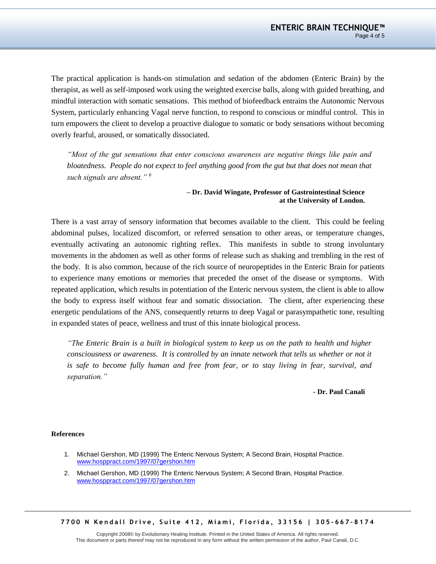The practical application is hands-on stimulation and sedation of the abdomen (Enteric Brain) by the therapist, as well as self-imposed work using the weighted exercise balls, along with guided breathing, and mindful interaction with somatic sensations. This method of biofeedback entrains the Autonomic Nervous System, particularly enhancing Vagal nerve function, to respond to conscious or mindful control. This in turn empowers the client to develop a proactive dialogue to somatic or body sensations without becoming overly fearful, aroused, or somatically dissociated.

*"Most of the gut sensations that enter conscious awareness are negative things like pain and bloatedness. People do not expect to feel anything good from the gut but that does not mean that such signals are absent." <sup>6</sup>*

#### **– Dr. David Wingate, Professor of Gastrointestinal Science at the University of London.**

There is a vast array of sensory information that becomes available to the client. This could be feeling abdominal pulses, localized discomfort, or referred sensation to other areas, or temperature changes, eventually activating an autonomic righting reflex. This manifests in subtle to strong involuntary movements in the abdomen as well as other forms of release such as shaking and trembling in the rest of the body. It is also common, because of the rich source of neuropeptides in the Enteric Brain for patients to experience many emotions or memories that preceded the onset of the disease or symptoms. With repeated application, which results in potentiation of the Enteric nervous system, the client is able to allow the body to express itself without fear and somatic dissociation. The client, after experiencing these energetic pendulations of the ANS, consequently returns to deep Vagal or parasympathetic tone, resulting in expanded states of peace, wellness and trust of this innate biological process.

*"The Enteric Brain is a built in biological system to keep us on the path to health and higher consciousness or awareness. It is controlled by an innate network that tells us whether or not it is safe to become fully human and free from fear, or to stay living in fear, survival, and separation."*

**- Dr. Paul Canali**

#### **References**

- 1. Michael Gershon, MD (1999) The Enteric Nervous System; A Second Brain, Hospital Practice. [www.hosppract.com/1997/07gershon.htm](http://www.hosppract.com/1997/07gershon.htm)
- 2. Michael Gershon, MD (1999) The Enteric Nervous System; A Second Brain, Hospital Practice. [www.hosppract.com/1997/07gershon.htm](http://www.hosppract.com/1997/07gershon.htm)

**7 7 0 0 N K e n d a l l D r i v e , S u i t e 4 1 2 , M i a m i , F l o r i d a , 3 3 1 5 6 | 3 0 5 - 6 6 7 - 8 1 7 4**